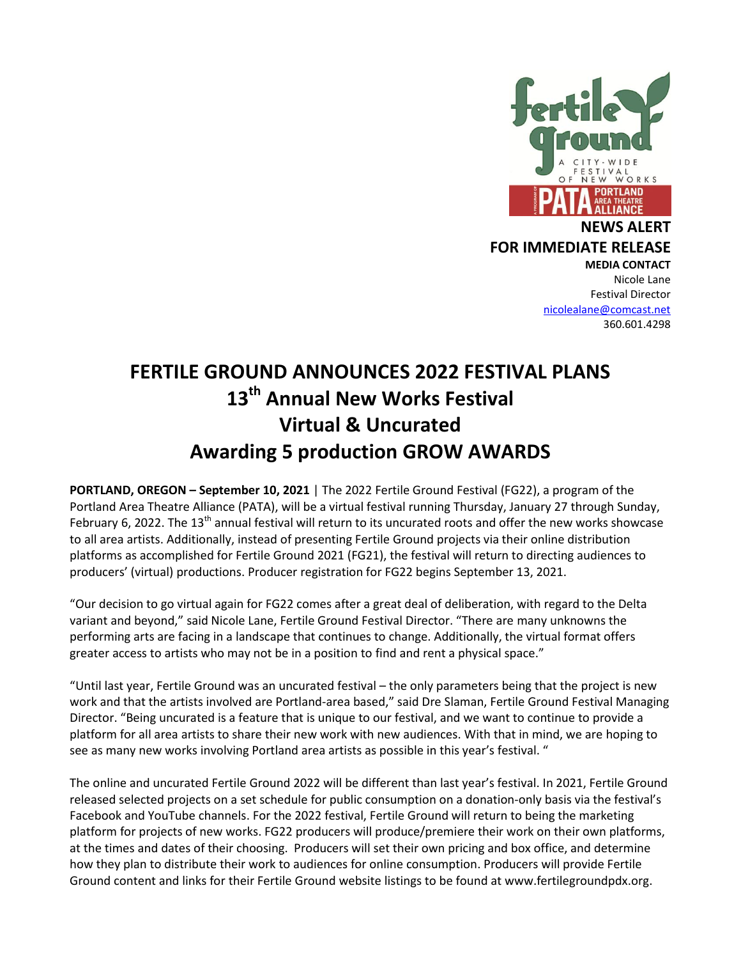

#### **NEWS ALERT FOR IMMEDIATE RELEASE MEDIA CONTACT**

Nicole Lane Festival Director [nicolealane@comcast.net](mailto:nicolealane@comcast.net) 360.601.4298

# **FERTILE GROUND ANNOUNCES 2022 FESTIVAL PLANS 13 th Annual New Works Festival Virtual & Uncurated Awarding 5 production GROW AWARDS**

**PORTLAND, OREGON – September 10, 2021** | The 2022 Fertile Ground Festival (FG22), a program of the Portland Area Theatre Alliance (PATA), will be a virtual festival running Thursday, January 27 through Sunday, February 6, 2022. The  $13<sup>th</sup>$  annual festival will return to its uncurated roots and offer the new works showcase to all area artists. Additionally, instead of presenting Fertile Ground projects via their online distribution platforms as accomplished for Fertile Ground 2021 (FG21), the festival will return to directing audiences to producers' (virtual) productions. Producer registration for FG22 begins September 13, 2021.

"Our decision to go virtual again for FG22 comes after a great deal of deliberation, with regard to the Delta variant and beyond," said Nicole Lane, Fertile Ground Festival Director. "There are many unknowns the performing arts are facing in a landscape that continues to change. Additionally, the virtual format offers greater access to artists who may not be in a position to find and rent a physical space."

"Until last year, Fertile Ground was an uncurated festival – the only parameters being that the project is new work and that the artists involved are Portland-area based," said Dre Slaman, Fertile Ground Festival Managing Director. "Being uncurated is a feature that is unique to our festival, and we want to continue to provide a platform for all area artists to share their new work with new audiences. With that in mind, we are hoping to see as many new works involving Portland area artists as possible in this year's festival. "

The online and uncurated Fertile Ground 2022 will be different than last year's festival. In 2021, Fertile Ground released selected projects on a set schedule for public consumption on a donation-only basis via the festival's Facebook and YouTube channels. For the 2022 festival, Fertile Ground will return to being the marketing platform for projects of new works. FG22 producers will produce/premiere their work on their own platforms, at the times and dates of their choosing. Producers will set their own pricing and box office, and determine how they plan to distribute their work to audiences for online consumption. Producers will provide Fertile Ground content and links for their Fertile Ground website listings to be found at www.fertilegroundpdx.org.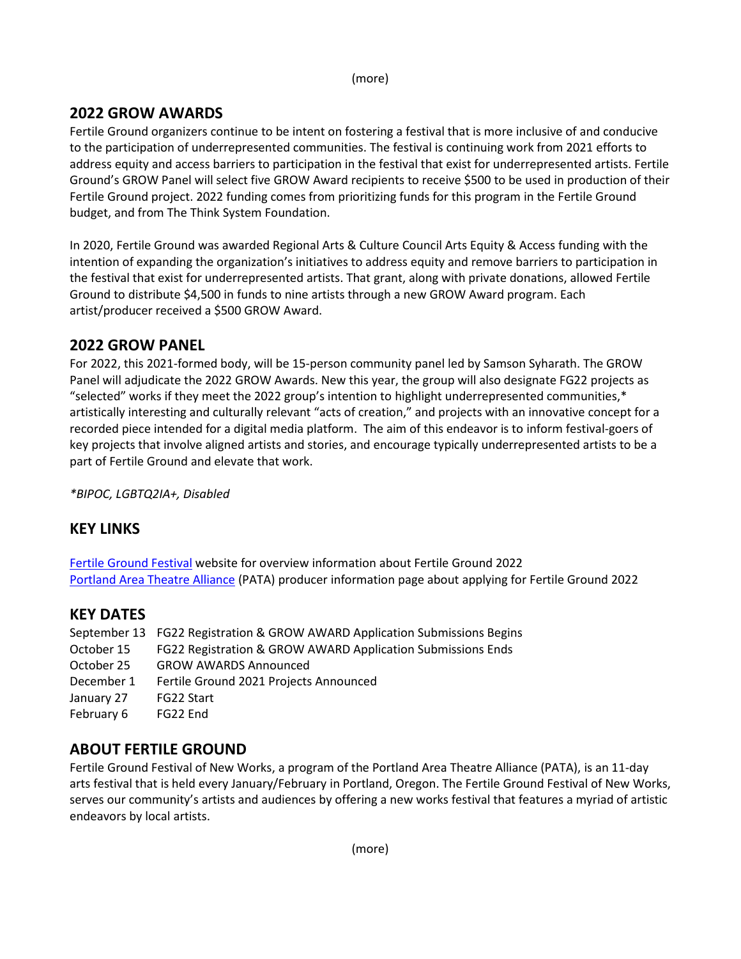(more)

### **2022 GROW AWARDS**

Fertile Ground organizers continue to be intent on fostering a festival that is more inclusive of and conducive to the participation of underrepresented communities. The festival is continuing work from 2021 efforts to address equity and access barriers to participation in the festival that exist for underrepresented artists. Fertile Ground's GROW Panel will select five GROW Award recipients to receive \$500 to be used in production of their Fertile Ground project. 2022 funding comes from prioritizing funds for this program in the Fertile Ground budget, and from The Think System Foundation.

In 2020, Fertile Ground was awarded Regional Arts & Culture Council Arts Equity & Access funding with the intention of expanding the organization's initiatives to address equity and remove barriers to participation in the festival that exist for underrepresented artists. That grant, along with private donations, allowed Fertile Ground to distribute \$4,500 in funds to nine artists through a new GROW Award program. Each artist/producer received a \$500 GROW Award.

### **2022 GROW PANEL**

For 2022, this 2021-formed body, will be 15-person community panel led by Samson Syharath. The GROW Panel will adjudicate the 2022 GROW Awards. New this year, the group will also designate FG22 projects as "selected" works if they meet the 2022 group's intention to highlight underrepresented communities,\* artistically interesting and culturally relevant "acts of creation," and projects with an innovative concept for a recorded piece intended for a digital media platform. The aim of this endeavor is to inform festival-goers of key projects that involve aligned artists and stories, and encourage typically underrepresented artists to be a part of Fertile Ground and elevate that work.

*\*BIPOC, LGBTQ2IA+, Disabled*

### **KEY LINKS**

[Fertile Ground Festival](http://fertilegroundpdx.org/) website for overview information about Fertile Ground 2022 [Portland Area Theatre Alliance](https://www.portlandtheatre.com/page-18123) (PATA) producer information page about applying for Fertile Ground 2022

### **KEY DATES**

|            | September 13 FG22 Registration & GROW AWARD Application Submissions Begins |
|------------|----------------------------------------------------------------------------|
| October 15 | FG22 Registration & GROW AWARD Application Submissions Ends                |
| October 25 | <b>GROW AWARDS Announced</b>                                               |
| December 1 | Fertile Ground 2021 Projects Announced                                     |
| January 27 | FG22 Start                                                                 |
| February 6 | FG22 End                                                                   |

## **ABOUT FERTILE GROUND**

Fertile Ground Festival of New Works, a program of the Portland Area Theatre Alliance (PATA), is an 11-day arts festival that is held every January/February in Portland, Oregon. The Fertile Ground Festival of New Works, serves our community's artists and audiences by offering a new works festival that features a myriad of artistic endeavors by local artists.

(more)